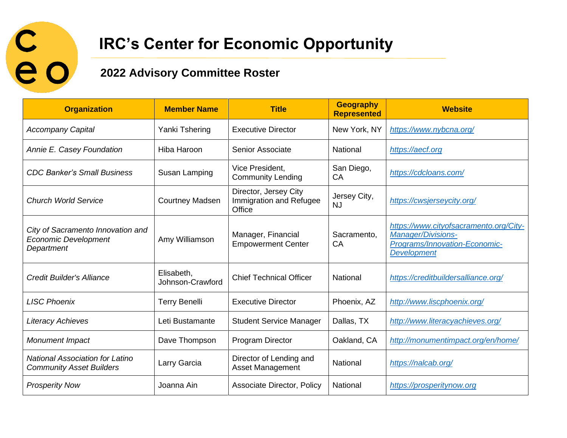

## **IRC's Center for Economic Opportunity**

## **2022 Advisory Committee Roster**

| <b>Organization</b>                                                            | <b>Member Name</b>             | <b>Title</b>                                               | <b>Geography</b><br><b>Represented</b> | <b>Website</b>                                                                                                             |
|--------------------------------------------------------------------------------|--------------------------------|------------------------------------------------------------|----------------------------------------|----------------------------------------------------------------------------------------------------------------------------|
| <b>Accompany Capital</b>                                                       | Yanki Tshering                 | <b>Executive Director</b>                                  | New York, NY                           | https://www.nybcna.org/                                                                                                    |
| Annie E. Casey Foundation                                                      | Hiba Haroon                    | <b>Senior Associate</b>                                    | National                               | https://aecf.org                                                                                                           |
| <b>CDC Banker's Small Business</b>                                             | Susan Lamping                  | Vice President,<br><b>Community Lending</b>                | San Diego,<br>CA                       | https://cdcloans.com/                                                                                                      |
| <b>Church World Service</b>                                                    | <b>Courtney Madsen</b>         | Director, Jersey City<br>Immigration and Refugee<br>Office | Jersey City,<br><b>NJ</b>              | https://cwsjerseycity.org/                                                                                                 |
| City of Sacramento Innovation and<br><b>Economic Development</b><br>Department | Amy Williamson                 | Manager, Financial<br><b>Empowerment Center</b>            | Sacramento,<br>CA                      | https://www.cityofsacramento.org/City-<br><b>Manager/Divisions-</b><br>Programs/Innovation-Economic-<br><b>Development</b> |
| Credit Builder's Alliance                                                      | Elisabeth,<br>Johnson-Crawford | <b>Chief Technical Officer</b>                             | National                               | https://creditbuildersalliance.org/                                                                                        |
| <b>LISC Phoenix</b>                                                            | <b>Terry Benelli</b>           | <b>Executive Director</b>                                  | Phoenix, AZ                            | http://www.liscphoenix.org/                                                                                                |
| <b>Literacy Achieves</b>                                                       | Leti Bustamante                | <b>Student Service Manager</b>                             | Dallas, TX                             | http://www.literacyachieves.org/                                                                                           |
| <b>Monument Impact</b>                                                         | Dave Thompson                  | <b>Program Director</b>                                    | Oakland, CA                            | http://monumentimpact.org/en/home/                                                                                         |
| <b>National Association for Latino</b><br><b>Community Asset Builders</b>      | Larry Garcia                   | Director of Lending and<br>Asset Management                | National                               | https://nalcab.org/                                                                                                        |
| <b>Prosperity Now</b>                                                          | Joanna Ain                     | <b>Associate Director, Policy</b>                          | National                               | https://prosperitynow.org                                                                                                  |